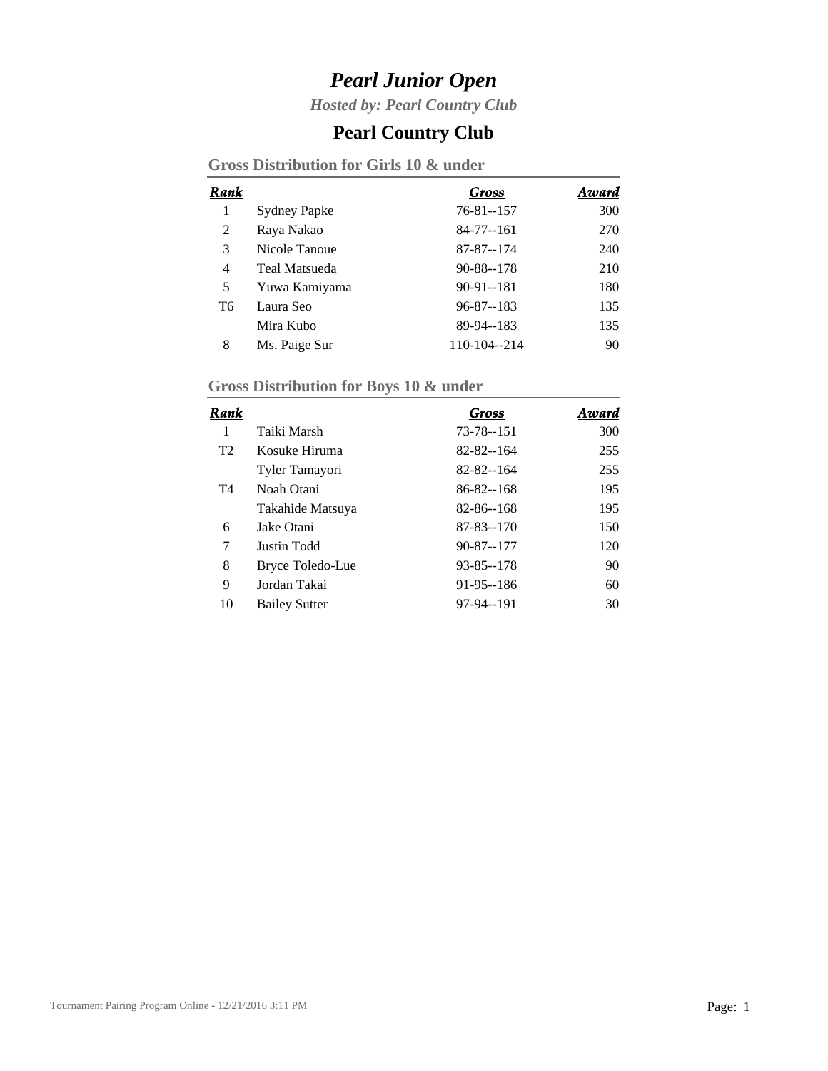*Hosted by: Pearl Country Club*

### **Pearl Country Club**

**Gross Distribution for Girls 10 & under**

| Rank |                     | Gross           | Award |
|------|---------------------|-----------------|-------|
| 1    | <b>Sydney Papke</b> | 76-81--157      | 300   |
| 2    | Raya Nakao          | $84 - 77 - 161$ | 270   |
| 3    | Nicole Tanoue       | 87-87--174      | 240   |
| 4    | Teal Matsueda       | 90-88--178      | 210   |
| 5    | Yuwa Kamiyama       | $90-91-181$     | 180   |
| T6   | Laura Seo           | $96 - 87 - 183$ | 135   |
|      | Mira Kubo           | 89-94--183      | 135   |
| 8    | Ms. Paige Sur       | 110-104--214    | 90    |

# **Gross Distribution for Boys 10 & under**

| Rank           |                      | Gross           | Award |
|----------------|----------------------|-----------------|-------|
| 1              | Taiki Marsh          | 73-78--151      | 300   |
| T <sub>2</sub> | Kosuke Hiruma        | $82 - 82 - 164$ | 255   |
|                | Tyler Tamayori       | $82 - 82 - 164$ | 255   |
| T4             | Noah Otani           | 86-82--168      | 195   |
|                | Takahide Matsuya     | 82-86--168      | 195   |
| 6              | Jake Otani           | 87-83--170      | 150   |
| 7              | Justin Todd          | 90-87--177      | 120   |
| 8              | Bryce Toledo-Lue     | $93 - 85 - 178$ | 90    |
| 9              | Jordan Takai         | $91-95-186$     | 60    |
| 10             | <b>Bailey Sutter</b> | 97-94--191      | 30    |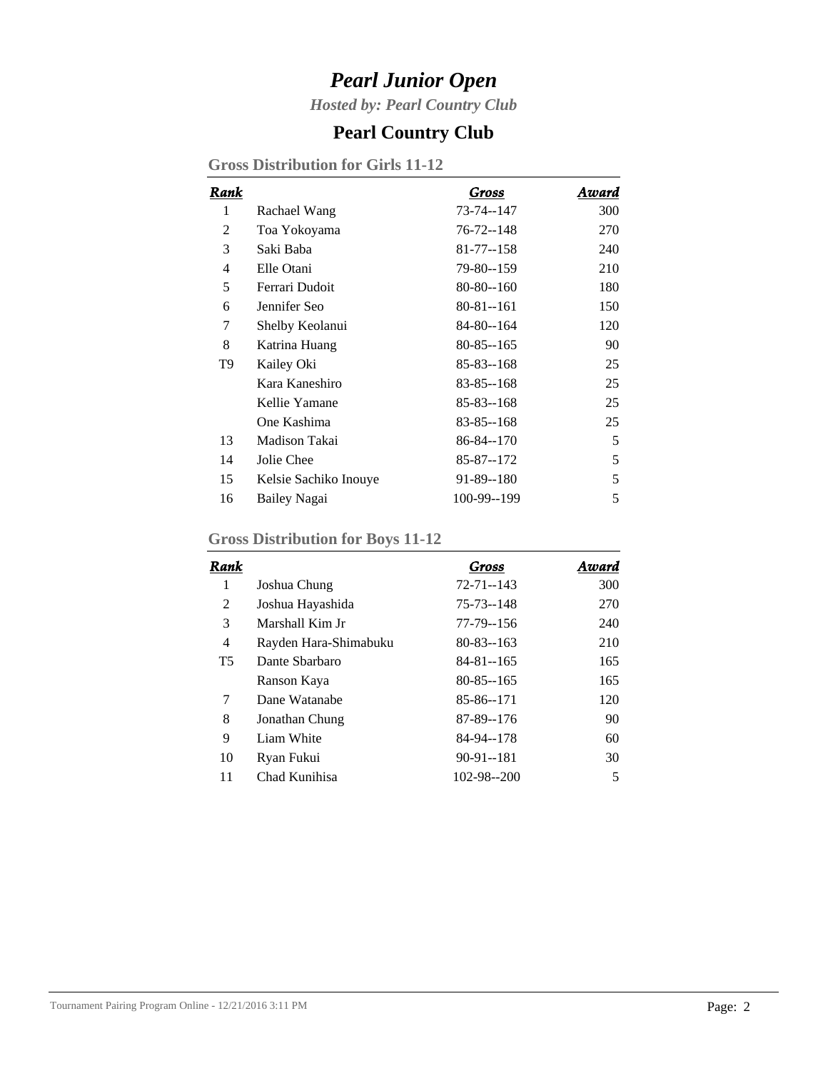*Hosted by: Pearl Country Club*

### **Pearl Country Club**

**Gross Distribution for Girls 11-12**

| Rank           |                       | Gross           | Award |
|----------------|-----------------------|-----------------|-------|
| 1              | Rachael Wang          | 73-74--147      | 300   |
| 2              | Toa Yokoyama          | 76-72--148      | 270   |
| 3              | Saki Baba             | $81 - 77 - 158$ | 240   |
| $\overline{4}$ | Elle Otani            | 79-80--159      | 210   |
| 5              | Ferrari Dudoit        | $80 - 80 - 160$ | 180   |
| 6              | Jennifer Seo          | $80 - 81 - 161$ | 150   |
| 7              | Shelby Keolanui       | 84-80--164      | 120   |
| 8              | Katrina Huang         | $80 - 85 - 165$ | 90    |
| T <sub>9</sub> | Kailey Oki            | 85-83--168      | 25    |
|                | Kara Kaneshiro        | 83-85--168      | 25    |
|                | Kellie Yamane         | $85 - 83 - 168$ | 25    |
|                | One Kashima           | 83-85--168      | 25    |
| 13             | Madison Takai         | 86-84--170      | 5     |
| 14             | Jolie Chee            | 85-87--172      | 5     |
| 15             | Kelsie Sachiko Inouye | 91-89--180      | 5     |
| 16             | Bailey Nagai          | 100-99--199     | 5     |

#### **Gross Distribution for Boys 11-12**

| Rank           |                       | Gross            | Award |
|----------------|-----------------------|------------------|-------|
| 1              | Joshua Chung          | $72 - 71 - 143$  | 300   |
| 2              | Joshua Hayashida      | 75-73--148       | 270   |
| 3              | Marshall Kim Jr       | 77-79--156       | 240   |
| $\overline{4}$ | Rayden Hara-Shimabuku | $80 - 83 - 163$  | 210   |
| <b>T5</b>      | Dante Sharbaro        | 84-81--165       | 165   |
|                | Ranson Kaya           | $80 - 85 - 165$  | 165   |
| 7              | Dane Watanabe         | 85-86--171       | 120   |
| 8              | Jonathan Chung        | 87-89--176       | 90    |
| 9              | Liam White            | 84-94--178       | 60    |
| 10             | Ryan Fukui            | $90-91-181$      | 30    |
| 11             | Chad Kunihisa         | $102 - 98 - 200$ | 5     |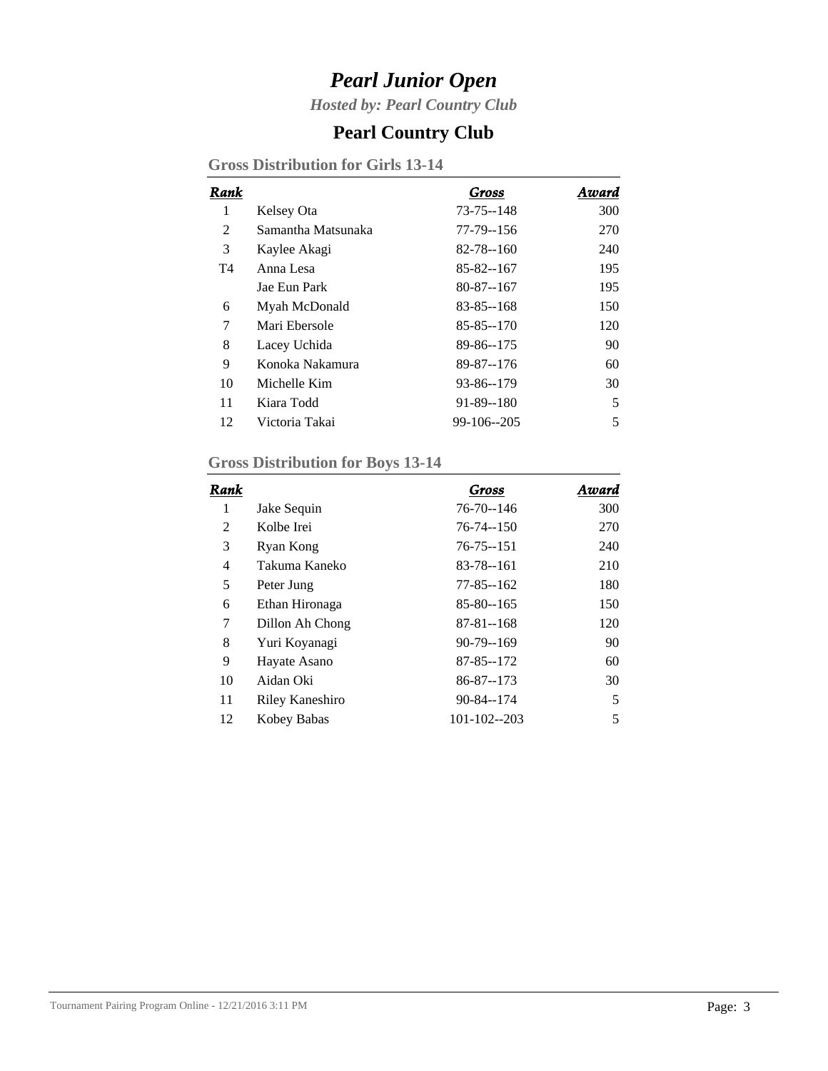*Hosted by: Pearl Country Club*

### **Pearl Country Club**

**Gross Distribution for Girls 13-14**

| Rank |                    | Gross           | Award |
|------|--------------------|-----------------|-------|
| 1    | Kelsey Ota         | 73-75--148      | 300   |
| 2    | Samantha Matsunaka | 77-79--156      | 270   |
| 3    | Kaylee Akagi       | $82 - 78 - 160$ | 240   |
| T4   | Anna Lesa          | 85-82--167      | 195   |
|      | Jae Eun Park       | $80 - 87 - 167$ | 195   |
| 6    | Myah McDonald      | $83 - 85 - 168$ | 150   |
| 7    | Mari Ebersole      | $85 - 85 - 170$ | 120   |
| 8    | Lacey Uchida       | 89-86--175      | 90    |
| 9    | Konoka Nakamura    | 89-87--176      | 60    |
| 10   | Michelle Kim       | 93-86--179      | 30    |
| 11   | Kiara Todd         | $91 - 89 - 180$ | 5     |
| 12   | Victoria Takai     | $99-106-205$    | 5     |

#### **Gross Distribution for Boys 13-14**

| Rank |                 | Gross           | Award |
|------|-----------------|-----------------|-------|
| 1    | Jake Sequin     | 76-70--146      | 300   |
| 2    | Kolbe Irei      | $76 - 74 - 150$ | 270   |
| 3    | Ryan Kong       | $76 - 75 - 151$ | 240   |
| 4    | Takuma Kaneko   | 83-78--161      | 210   |
| 5    | Peter Jung      | $77 - 85 - 162$ | 180   |
| 6    | Ethan Hironaga  | 85-80--165      | 150   |
| 7    | Dillon Ah Chong | $87 - 81 - 168$ | 120   |
| 8    | Yuri Koyanagi   | $90 - 79 - 169$ | 90    |
| 9    | Hayate Asano    | 87-85--172      | 60    |
| 10   | Aidan Oki       | 86-87--173      | 30    |
| 11   | Riley Kaneshiro | 90-84--174      | 5     |
| 12   | Kobey Babas     | 101-102--203    | 5     |